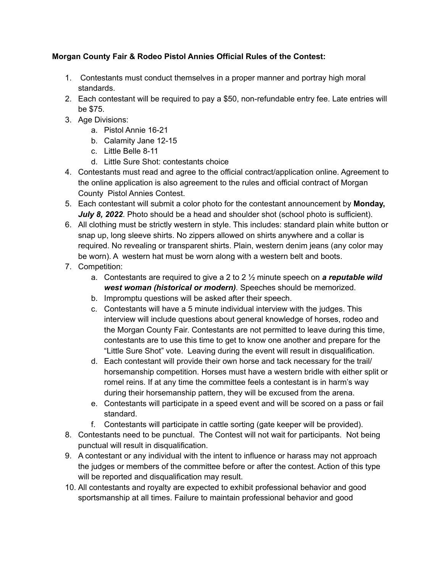## **Morgan County Fair & Rodeo Pistol Annies Official Rules of the Contest:**

- 1. Contestants must conduct themselves in a proper manner and portray high moral standards.
- 2. Each contestant will be required to pay a \$50, non-refundable entry fee. Late entries will be \$75.
- 3. Age Divisions:
	- a. Pistol Annie 16-21
	- b. Calamity Jane 12-15
	- c. Little Belle 8-11
	- d. Little Sure Shot: contestants choice
- 4. Contestants must read and agree to the official contract/application online. Agreement to the online application is also agreement to the rules and official contract of Morgan County Pistol Annies Contest.
- 5. Each contestant will submit a color photo for the contestant announcement by **Monday,** *July 8, 2022*. Photo should be a head and shoulder shot (school photo is sufficient).
- 6. All clothing must be strictly western in style. This includes: standard plain white button or snap up, long sleeve shirts. No zippers allowed on shirts anywhere and a collar is required. No revealing or transparent shirts. Plain, western denim jeans (any color may be worn). A western hat must be worn along with a western belt and boots.
- 7. Competition:
	- a. Contestants are required to give a 2 to 2 ½ minute speech on *a reputable wild west woman (historical or modern)*. Speeches should be memorized.
	- b. Impromptu questions will be asked after their speech.
	- c. Contestants will have a 5 minute individual interview with the judges. This interview will include questions about general knowledge of horses, rodeo and the Morgan County Fair. Contestants are not permitted to leave during this time, contestants are to use this time to get to know one another and prepare for the "Little Sure Shot" vote. Leaving during the event will result in disqualification.
	- d. Each contestant will provide their own horse and tack necessary for the trail/ horsemanship competition. Horses must have a western bridle with either split or romel reins. If at any time the committee feels a contestant is in harm's way during their horsemanship pattern, they will be excused from the arena.
	- e. Contestants will participate in a speed event and will be scored on a pass or fail standard.
	- f. Contestants will participate in cattle sorting (gate keeper will be provided).
- 8. Contestants need to be punctual. The Contest will not wait for participants. Not being punctual will result in disqualification.
- 9. A contestant or any individual with the intent to influence or harass may not approach the judges or members of the committee before or after the contest. Action of this type will be reported and disqualification may result.
- 10. All contestants and royalty are expected to exhibit professional behavior and good sportsmanship at all times. Failure to maintain professional behavior and good